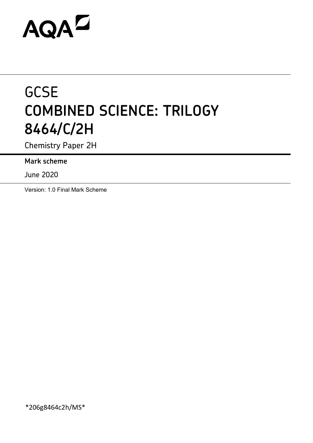# AQAZ

# **GCSE COMBINED SCIENCE: TRILOGY 8464/C/2H**

Chemistry Paper 2H

**Mark scheme**

June 2020

Version: 1.0 Final Mark Scheme

\*206g8464c2h/MS\*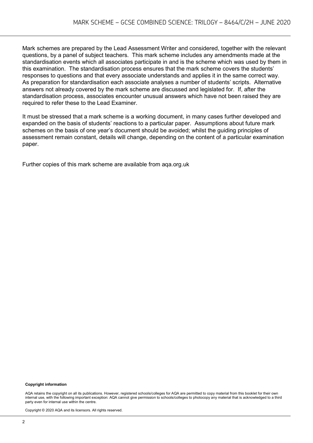Mark schemes are prepared by the Lead Assessment Writer and considered, together with the relevant questions, by a panel of subject teachers. This mark scheme includes any amendments made at the standardisation events which all associates participate in and is the scheme which was used by them in this examination. The standardisation process ensures that the mark scheme covers the students' responses to questions and that every associate understands and applies it in the same correct way. As preparation for standardisation each associate analyses a number of students' scripts. Alternative answers not already covered by the mark scheme are discussed and legislated for. If, after the standardisation process, associates encounter unusual answers which have not been raised they are required to refer these to the Lead Examiner.

It must be stressed that a mark scheme is a working document, in many cases further developed and expanded on the basis of students' reactions to a particular paper. Assumptions about future mark schemes on the basis of one year's document should be avoided; whilst the guiding principles of assessment remain constant, details will change, depending on the content of a particular examination paper.

Further copies of this mark scheme are available from aqa.org.uk

#### **Copyright information**

AQA retains the copyright on all its publications. However, registered schools/colleges for AQA are permitted to copy material from this booklet for their own internal use, with the following important exception: AQA cannot give permission to schools/colleges to photocopy any material that is acknowledged to a third party even for internal use within the centre.

Copyright © 2020 AQA and its licensors. All rights reserved.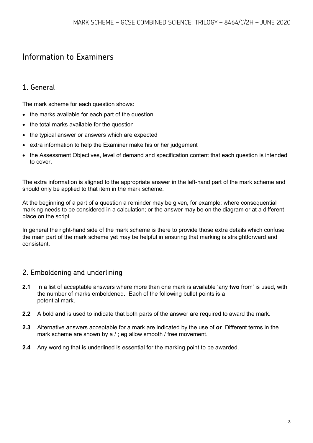# Information to Examiners

# 1. General

The mark scheme for each question shows:

- the marks available for each part of the question
- the total marks available for the question
- the typical answer or answers which are expected
- extra information to help the Examiner make his or her judgement
- the Assessment Objectives, level of demand and specification content that each question is intended to cover.

The extra information is aligned to the appropriate answer in the left-hand part of the mark scheme and should only be applied to that item in the mark scheme.

At the beginning of a part of a question a reminder may be given, for example: where consequential marking needs to be considered in a calculation; or the answer may be on the diagram or at a different place on the script.

In general the right-hand side of the mark scheme is there to provide those extra details which confuse the main part of the mark scheme yet may be helpful in ensuring that marking is straightforward and consistent.

# 2. Emboldening and underlining

- **2.1** In a list of acceptable answers where more than one mark is available 'any **two** from' is used, with the number of marks emboldened. Each of the following bullet points is a potential mark.
- **2.2** A bold **and** is used to indicate that both parts of the answer are required to award the mark.
- **2.3** Alternative answers acceptable for a mark are indicated by the use of **or**. Different terms in the mark scheme are shown by a / ; eg allow smooth / free movement.
- **2.4** Any wording that is underlined is essential for the marking point to be awarded.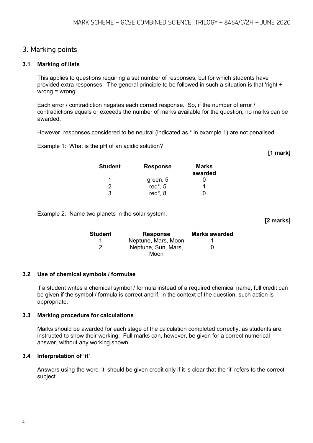## 3. Marking points

#### **3.1 Marking of lists**

This applies to questions requiring a set number of responses, but for which students have provided extra responses. The general principle to be followed in such a situation is that 'right + wrong = wrong'.

Each error / contradiction negates each correct response. So, if the number of error / contradictions equals or exceeds the number of marks available for the question, no marks can be awarded.

However, responses considered to be neutral (indicated as \* in example 1) are not penalised.

Example 1: What is the pH of an acidic solution?

**[1 mark]**

**[2 marks]**

| <b>Student</b> | <b>Response</b> | Marks<br>awarded |
|----------------|-----------------|------------------|
| 1              | green, 5        |                  |
| 2              | red $*$ , 5     |                  |
| 3              | red*, 8         |                  |

Example 2: Name two planets in the solar system.

**Student Response Marks awarded** 1 **Neptune, Mars, Moon** 1 2 Neptune, Sun, Mars, Moon  $\Omega$ 

#### **3.2 Use of chemical symbols / formulae**

If a student writes a chemical symbol / formula instead of a required chemical name, full credit can be given if the symbol / formula is correct and if, in the context of the question, such action is appropriate.

#### **3.3 Marking procedure for calculations**

Marks should be awarded for each stage of the calculation completed correctly, as students are instructed to show their working. Full marks can, however, be given for a correct numerical answer, without any working shown.

#### **3.4 Interpretation of 'it'**

Answers using the word 'it' should be given credit only if it is clear that the 'it' refers to the correct subject.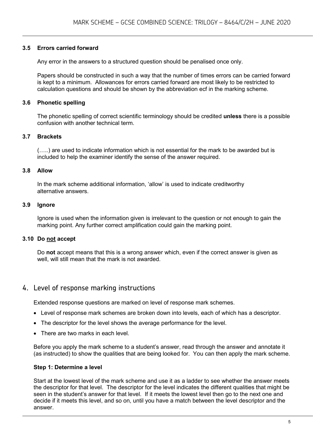#### **3.5 Errors carried forward**

Any error in the answers to a structured question should be penalised once only.

Papers should be constructed in such a way that the number of times errors can be carried forward is kept to a minimum. Allowances for errors carried forward are most likely to be restricted to calculation questions and should be shown by the abbreviation ecf in the marking scheme.

#### **3.6 Phonetic spelling**

The phonetic spelling of correct scientific terminology should be credited **unless** there is a possible confusion with another technical term.

#### **3.7 Brackets**

(…..) are used to indicate information which is not essential for the mark to be awarded but is included to help the examiner identify the sense of the answer required.

#### **3.8 Allow**

In the mark scheme additional information, 'allow' is used to indicate creditworthy alternative answers.

#### **3.9 Ignore**

Ignore is used when the information given is irrelevant to the question or not enough to gain the marking point. Any further correct amplification could gain the marking point.

#### **3.10 Do not accept**

Do **not** accept means that this is a wrong answer which, even if the correct answer is given as well, will still mean that the mark is not awarded.

### 4. Level of response marking instructions

Extended response questions are marked on level of response mark schemes.

- Level of response mark schemes are broken down into levels, each of which has a descriptor.
- The descriptor for the level shows the average performance for the level.
- There are two marks in each level.

Before you apply the mark scheme to a student's answer, read through the answer and annotate it (as instructed) to show the qualities that are being looked for. You can then apply the mark scheme.

#### **Step 1: Determine a level**

Start at the lowest level of the mark scheme and use it as a ladder to see whether the answer meets the descriptor for that level. The descriptor for the level indicates the different qualities that might be seen in the student's answer for that level. If it meets the lowest level then go to the next one and decide if it meets this level, and so on, until you have a match between the level descriptor and the answer.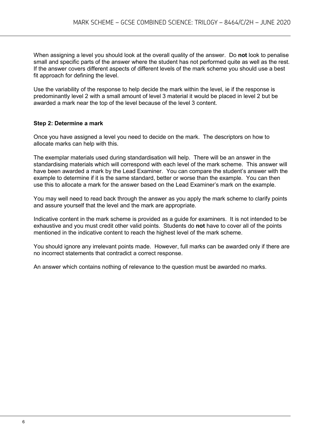When assigning a level you should look at the overall quality of the answer. Do **not** look to penalise small and specific parts of the answer where the student has not performed quite as well as the rest. If the answer covers different aspects of different levels of the mark scheme you should use a best fit approach for defining the level.

Use the variability of the response to help decide the mark within the level, ie if the response is predominantly level 2 with a small amount of level 3 material it would be placed in level 2 but be awarded a mark near the top of the level because of the level 3 content.

#### **Step 2: Determine a mark**

Once you have assigned a level you need to decide on the mark. The descriptors on how to allocate marks can help with this.

The exemplar materials used during standardisation will help. There will be an answer in the standardising materials which will correspond with each level of the mark scheme. This answer will have been awarded a mark by the Lead Examiner. You can compare the student's answer with the example to determine if it is the same standard, better or worse than the example. You can then use this to allocate a mark for the answer based on the Lead Examiner's mark on the example.

You may well need to read back through the answer as you apply the mark scheme to clarify points and assure yourself that the level and the mark are appropriate.

Indicative content in the mark scheme is provided as a guide for examiners. It is not intended to be exhaustive and you must credit other valid points. Students do **not** have to cover all of the points mentioned in the indicative content to reach the highest level of the mark scheme.

You should ignore any irrelevant points made. However, full marks can be awarded only if there are no incorrect statements that contradict a correct response.

An answer which contains nothing of relevance to the question must be awarded no marks.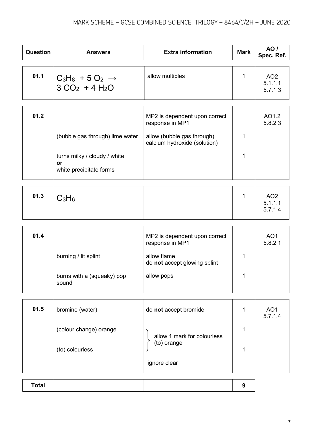| Question     | <b>Answers</b>                                                | <b>Extra information</b>                                   | <b>Mark</b> | AO /<br>Spec. Ref.                    |
|--------------|---------------------------------------------------------------|------------------------------------------------------------|-------------|---------------------------------------|
| 01.1         | $C_3H_8 + 5O_2 \rightarrow$<br>$3 CO2 + 4 H2O$                | allow multiples                                            | 1           | AO <sub>2</sub><br>5.1.1.1<br>5.7.1.3 |
|              |                                                               |                                                            |             |                                       |
| 01.2         |                                                               | MP2 is dependent upon correct<br>response in MP1           |             | AO1.2<br>5.8.2.3                      |
|              | (bubble gas through) lime water                               | allow (bubble gas through)<br>calcium hydroxide (solution) | 1           |                                       |
|              | turns milky / cloudy / white<br>or<br>white precipitate forms |                                                            | 1           |                                       |
|              |                                                               |                                                            |             |                                       |
| 01.3         | $C_3H_6$                                                      |                                                            | 1           | AO <sub>2</sub><br>5.1.1.1<br>5.7.1.4 |
|              |                                                               |                                                            |             |                                       |
| 01.4         |                                                               | MP2 is dependent upon correct<br>response in MP1           |             | AO <sub>1</sub><br>5.8.2.1            |
|              | burning / lit splint                                          | allow flame<br>do not accept glowing splint                | 1           |                                       |
|              | burns with a (squeaky) pop<br>sound                           | allow pops                                                 | 1           |                                       |
|              |                                                               |                                                            |             |                                       |
| 01.5         | bromine (water)                                               | do not accept bromide                                      | 1           | AO <sub>1</sub><br>5.7.1.4            |
|              | (colour change) orange                                        | allow 1 mark for colourless                                | 1           |                                       |
|              | (to) colourless                                               | (to) orange                                                | 1           |                                       |
|              |                                                               | ignore clear                                               |             |                                       |
| <b>Total</b> |                                                               |                                                            | 9           |                                       |
|              |                                                               |                                                            |             |                                       |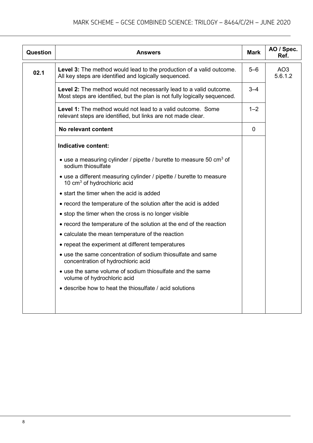| <b>Question</b> | <b>Answers</b>                                                                                                                                  | Mark           | AO / Spec.<br>Ref.         |
|-----------------|-------------------------------------------------------------------------------------------------------------------------------------------------|----------------|----------------------------|
| 02.1            | Level 3: The method would lead to the production of a valid outcome.<br>All key steps are identified and logically sequenced.                   | $5 - 6$        | AO <sub>3</sub><br>5.6.1.2 |
|                 | Level 2: The method would not necessarily lead to a valid outcome.<br>Most steps are identified, but the plan is not fully logically sequenced. | $3 - 4$        |                            |
|                 | <b>Level 1:</b> The method would not lead to a valid outcome. Some<br>relevant steps are identified, but links are not made clear.              | $1 - 2$        |                            |
|                 | No relevant content                                                                                                                             | $\overline{0}$ |                            |
|                 | Indicative content:                                                                                                                             |                |                            |
|                 | • use a measuring cylinder / pipette / burette to measure 50 $\text{cm}^3$ of<br>sodium thiosulfate                                             |                |                            |
|                 | • use a different measuring cylinder / pipette / burette to measure<br>10 cm <sup>3</sup> of hydrochloric acid                                  |                |                            |
|                 | • start the timer when the acid is added                                                                                                        |                |                            |
|                 | • record the temperature of the solution after the acid is added                                                                                |                |                            |
|                 | • stop the timer when the cross is no longer visible                                                                                            |                |                            |
|                 | • record the temperature of the solution at the end of the reaction                                                                             |                |                            |
|                 | • calculate the mean temperature of the reaction                                                                                                |                |                            |
|                 | • repeat the experiment at different temperatures                                                                                               |                |                            |
|                 | • use the same concentration of sodium thiosulfate and same<br>concentration of hydrochloric acid                                               |                |                            |
|                 | • use the same volume of sodium thiosulfate and the same<br>volume of hydrochloric acid                                                         |                |                            |
|                 | • describe how to heat the thiosulfate / acid solutions                                                                                         |                |                            |
|                 |                                                                                                                                                 |                |                            |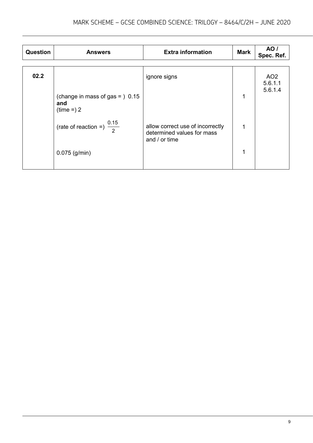| <b>Question</b> | <b>Answers</b>                                         | <b>Extra information</b>                                                        | <b>Mark</b> | AO /<br>Spec. Ref.                    |
|-----------------|--------------------------------------------------------|---------------------------------------------------------------------------------|-------------|---------------------------------------|
|                 |                                                        |                                                                                 |             |                                       |
| 02.2            |                                                        | ignore signs                                                                    |             | AO <sub>2</sub><br>5.6.1.1<br>5.6.1.4 |
|                 | (change in mass of gas = $)$ 0.15<br>and<br>$time = 2$ |                                                                                 | 1           |                                       |
|                 | (rate of reaction =) $\frac{0.15}{2}$                  | allow correct use of incorrectly<br>determined values for mass<br>and / or time | 1           |                                       |
|                 | $0.075$ (g/min)                                        |                                                                                 | 1           |                                       |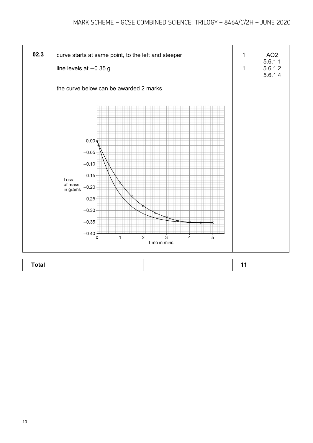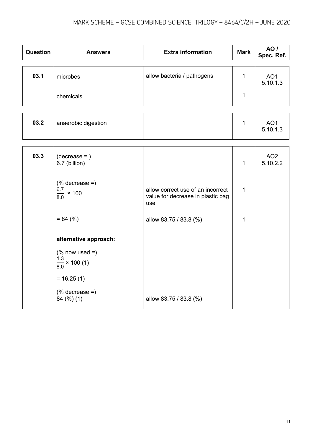| Question | <b>Answers</b>                                                   | <b>Extra information</b>                                                      | <b>Mark</b>  | AO /<br>Spec. Ref.          |
|----------|------------------------------------------------------------------|-------------------------------------------------------------------------------|--------------|-----------------------------|
| 03.1     | microbes                                                         | allow bacteria / pathogens                                                    | $\mathbf{1}$ | AO <sub>1</sub><br>5.10.1.3 |
|          | chemicals                                                        |                                                                               | $\mathbf{1}$ |                             |
|          |                                                                  |                                                                               |              |                             |
| 03.2     | anaerobic digestion                                              |                                                                               | $\mathbf{1}$ | AO <sub>1</sub><br>5.10.1.3 |
|          |                                                                  |                                                                               |              |                             |
| 03.3     | $(decrease = )$<br>6.7 (billion)                                 |                                                                               | $\mathbf{1}$ | AO <sub>2</sub><br>5.10.2.2 |
|          | $%$ decrease =)<br>$\frac{6.7}{8.0}$ × 100                       | allow correct use of an incorrect<br>value for decrease in plastic bag<br>use | $\mathbf{1}$ |                             |
|          | $= 84 (%)$                                                       | allow 83.75 / 83.8 (%)                                                        | 1            |                             |
|          | alternative approach:                                            |                                                                               |              |                             |
|          | $(% \mathcal{L}_{0})$ now used =)<br>$\frac{1.3}{8.0}$ × 100 (1) |                                                                               |              |                             |
|          | $= 16.25(1)$                                                     |                                                                               |              |                             |
|          | $(% \mathcal{L}_{0})$ decrease =)<br>84 (%) (1)                  | allow 83.75 / 83.8 (%)                                                        |              |                             |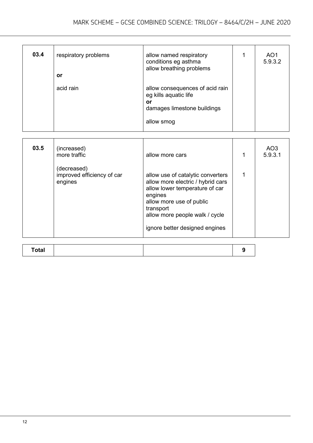| 03.4 | respiratory problems<br>or | allow named respiratory<br>conditions eg asthma<br>allow breathing problems                                 | AO <sub>1</sub><br>5.9.3.2 |
|------|----------------------------|-------------------------------------------------------------------------------------------------------------|----------------------------|
|      | acid rain                  | allow consequences of acid rain<br>eg kills aquatic life<br>or<br>damages limestone buildings<br>allow smog |                            |

| 03.5 | (increased)<br>more traffic                          | allow more cars                                                                                                                                                                                                                  | AO3<br>5.9.3.1 |
|------|------------------------------------------------------|----------------------------------------------------------------------------------------------------------------------------------------------------------------------------------------------------------------------------------|----------------|
|      | (decreased)<br>improved efficiency of car<br>engines | allow use of catalytic converters<br>allow more electric / hybrid cars<br>allow lower temperature of car<br>engines<br>allow more use of public<br>transport<br>allow more people walk / cycle<br>ignore better designed engines |                |

| 74441<br>' Ulai |  |
|-----------------|--|
|-----------------|--|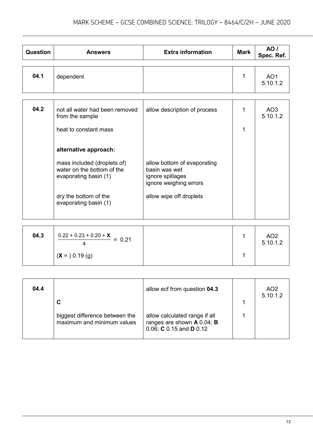| Question | <b>Answers</b>                                                                     | <b>Extra information</b>                                                                   | <b>Mark</b> | AO/<br>Spec. Ref.           |
|----------|------------------------------------------------------------------------------------|--------------------------------------------------------------------------------------------|-------------|-----------------------------|
|          |                                                                                    |                                                                                            |             |                             |
| 04.1     | dependent                                                                          |                                                                                            | 1           | AO <sub>1</sub><br>5.10.1.2 |
|          |                                                                                    |                                                                                            |             |                             |
| 04.2     | not all water had been removed<br>from the sample                                  | allow description of process                                                               | 1           | AO <sub>3</sub><br>5.10.1.2 |
|          | heat to constant mass                                                              |                                                                                            | 1           |                             |
|          | alternative approach:                                                              |                                                                                            |             |                             |
|          | mass included (droplets of)<br>water on the bottom of the<br>evaporating basin (1) | allow bottom of evaporating<br>basin was wet<br>ignore spillages<br>ignore weighing errors |             |                             |
|          | dry the bottom of the<br>evaporating basin (1)                                     | allow wipe off droplets                                                                    |             |                             |

| 04.3 | $0.22 + 0.23 + 0.20 + X$<br>$= 0.21$ |  | AO <sub>2</sub><br>5.10.1.2 |
|------|--------------------------------------|--|-----------------------------|
|      | $(X = 0.19$ (g)                      |  |                             |

| 04.4 | C                                                            | allow ecf from question 04.3                                                           | AO <sub>2</sub><br>5.10.1.2 |
|------|--------------------------------------------------------------|----------------------------------------------------------------------------------------|-----------------------------|
|      | biggest difference between the<br>maximum and minimum values | allow calculated range if all<br>ranges are shown A 0.04; B<br>0.06; C 0.15 and D 0.12 |                             |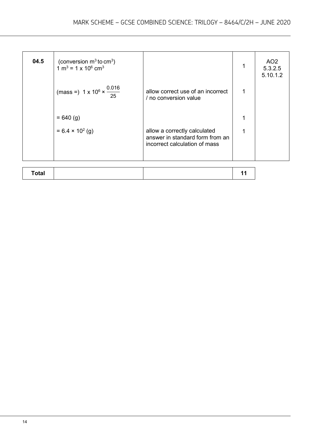| 04.5         | (conversion $m^3$ to cm <sup>3</sup> )<br>$1 \text{ m}^3$ = 1 x 10 <sup>6</sup> cm <sup>3</sup> |                                                                                                  | 1  | AO <sub>2</sub><br>5.3.2.5<br>5.10.1.2 |
|--------------|-------------------------------------------------------------------------------------------------|--------------------------------------------------------------------------------------------------|----|----------------------------------------|
|              | (mass =) $1 \times 10^6 \times \frac{0.016}{25}$                                                | allow correct use of an incorrect<br>/ no conversion value                                       | 1  |                                        |
|              | $= 640 (g)$                                                                                     |                                                                                                  |    |                                        |
|              | $= 6.4 \times 10^{2}$ (g)                                                                       | allow a correctly calculated<br>answer in standard form from an<br>incorrect calculation of mass | 1  |                                        |
|              |                                                                                                 |                                                                                                  |    |                                        |
| <b>Total</b> |                                                                                                 |                                                                                                  | 11 |                                        |

| $\sim$ fol<br><b>vuu</b> |  |  |
|--------------------------|--|--|
|                          |  |  |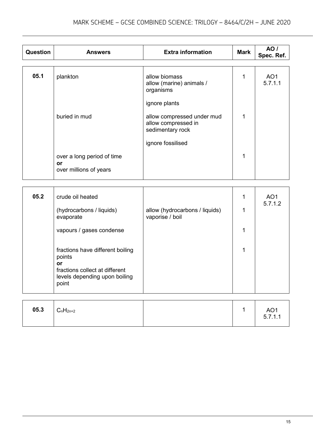| Question | <b>Answers</b>                                                                                                               | <b>Extra information</b>                                                               | <b>Mark</b> | AO /<br>Spec. Ref.         |
|----------|------------------------------------------------------------------------------------------------------------------------------|----------------------------------------------------------------------------------------|-------------|----------------------------|
| 05.1     | plankton                                                                                                                     | allow biomass<br>allow (marine) animals /<br>organisms                                 | 1           | AO <sub>1</sub><br>5.7.1.1 |
|          | buried in mud                                                                                                                | ignore plants<br>allow compressed under mud<br>allow compressed in<br>sedimentary rock | 1           |                            |
|          | over a long period of time<br>or<br>over millions of years                                                                   | ignore fossilised                                                                      | 1           |                            |
|          |                                                                                                                              |                                                                                        |             |                            |
| 05.2     | crude oil heated                                                                                                             |                                                                                        | 1           | AO <sub>1</sub>            |
|          | (hydrocarbons / liquids)<br>evaporate                                                                                        | allow (hydrocarbons / liquids)<br>vaporise / boil                                      | 1           | 5.7.1.2                    |
|          | vapours / gases condense                                                                                                     |                                                                                        | 1           |                            |
|          | fractions have different boiling<br>points<br>or<br>fractions collect at different<br>levels depending upon boiling<br>point |                                                                                        | 1           |                            |
|          |                                                                                                                              |                                                                                        |             |                            |

| 05.3 | $C_nH_{2n+2}$ | $\boldsymbol{A}$ | AO1<br>5.7.1.1 |
|------|---------------|------------------|----------------|
|      |               |                  |                |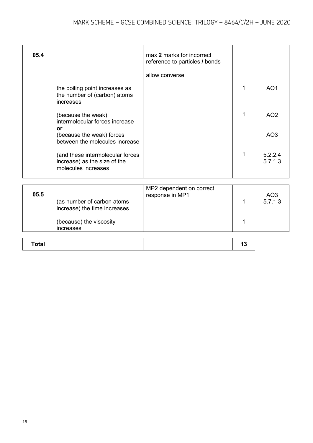| 05.4         |                                                                                         | max 2 marks for incorrect<br>reference to particles / bonds |    |                            |
|--------------|-----------------------------------------------------------------------------------------|-------------------------------------------------------------|----|----------------------------|
|              |                                                                                         | allow converse                                              |    |                            |
|              | the boiling point increases as<br>the number of (carbon) atoms<br>increases             |                                                             | 1  | AO <sub>1</sub>            |
|              | (because the weak)<br>intermolecular forces increase                                    |                                                             | 1  | AO <sub>2</sub>            |
|              | or<br>(because the weak) forces<br>between the molecules increase                       |                                                             |    | AO <sub>3</sub>            |
|              | (and these intermolecular forces<br>increase) as the size of the<br>molecules increases |                                                             | 1  | 5.2.2.4<br>5.7.1.3         |
|              |                                                                                         |                                                             |    |                            |
| 05.5         | (as number of carbon atoms<br>increase) the time increases                              | MP2 dependent on correct<br>response in MP1                 | 1  | AO <sub>3</sub><br>5.7.1.3 |
|              | (because) the viscosity<br>increases                                                    |                                                             | 1  |                            |
| <b>Total</b> |                                                                                         |                                                             | 13 |                            |
|              |                                                                                         |                                                             |    |                            |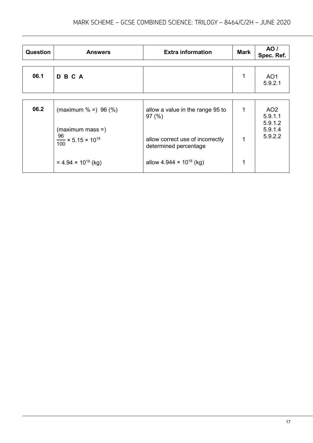| <b>Question</b> | <b>Answers</b>                                                   | <b>Extra information</b>                                  | <b>Mark</b> | AO /<br>Spec. Ref.            |
|-----------------|------------------------------------------------------------------|-----------------------------------------------------------|-------------|-------------------------------|
| 06.1            | <b>DBCA</b>                                                      |                                                           | 1           | AO <sub>1</sub><br>5.9.2.1    |
|                 |                                                                  |                                                           |             |                               |
| 06.2            | (maximum $% =$ ) 96 (%)                                          | allow a value in the range 95 to<br>97(%)                 | 1           | AO <sub>2</sub><br>5.9.1.1    |
|                 | $(maximum mass =)$<br>$\frac{96}{100}$ × 5.15 × 10 <sup>18</sup> | allow correct use of incorrectly<br>determined percentage | 1           | 5.9.1.2<br>5.9.1.4<br>5.9.2.2 |
|                 | $= 4.94 \times 10^{18}$ (kg)                                     | allow 4.944 $\times$ 10 <sup>18</sup> (kg)                |             |                               |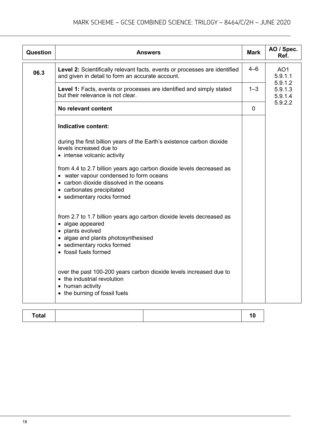| Question | <b>Answers</b>                                                                                                                                                                                                         | <b>Mark</b> | AO / Spec.<br>Ref.            |
|----------|------------------------------------------------------------------------------------------------------------------------------------------------------------------------------------------------------------------------|-------------|-------------------------------|
| 06.3     | Level 2: Scientifically relevant facts, events or processes are identified<br>and given in detail to form an accurate account.                                                                                         | $4 - 6$     | AO <sub>1</sub><br>5.9.1.1    |
|          | Level 1: Facts, events or processes are identified and simply stated<br>but their relevance is not clear.                                                                                                              | $1 - 3$     | 5.9.1.2<br>5.9.1.3<br>5.9.1.4 |
|          | No relevant content                                                                                                                                                                                                    | 0           | 5.9.2.2                       |
|          | Indicative content:                                                                                                                                                                                                    |             |                               |
|          | during the first billion years of the Earth's existence carbon dioxide<br>levels increased due to<br>• intense volcanic activity                                                                                       |             |                               |
|          | from 4.4 to 2.7 billion years ago carbon dioxide levels decreased as<br>• water vapour condensed to form oceans<br>• carbon dioxide dissolved in the oceans<br>• carbonates precipitated<br>• sedimentary rocks formed |             |                               |
|          | from 2.7 to 1.7 billion years ago carbon dioxide levels decreased as<br>• algae appeared<br>• plants evolved<br>• algae and plants photosynthesised<br>• sedimentary rocks formed<br>• fossil fuels formed             |             |                               |
|          | over the past 100-200 years carbon dioxide levels increased due to<br>• the industrial revolution<br>• human activity<br>• the burning of fossil fuels                                                                 |             |                               |